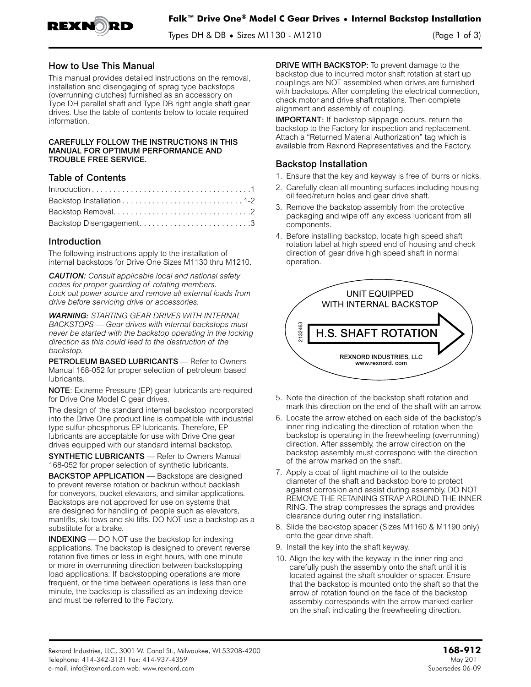

Types DH & DB **•** Sizes M1130 - M1210 (Page 1 of 3)

### How to Use This Manual

This manual provides detailed instructions on the removal, installation and disengaging of sprag type backstops (overrunning clutches) furnished as an accessory on Type DH parallel shaft and Type DB right angle shaft gear drives. Use the table of contents below to locate required information.

#### CAREFULLY FOLLOW THE INSTRUCTIONS IN THIS MANUAL FOR OPTIMUM PERFORMANCE AND TROUBLE FREE SERVICE.

## Table of Contents

| Backstop Disengagement3 |  |
|-------------------------|--|

### Introduction

The following instructions apply to the installation of internal backstops for Drive One Sizes M1130 thru M1210.

*CAUTION: Consult applicable local and national safety codes for proper guarding of rotating members. Lock out power source and remove all external loads from drive before servicing drive or accessories.*

*WARNING: STARTING GEAR DRIVES WITH INTERNAL BACKSTOPS — Gear drives with internal backstops must never be started with the backstop operating in the locking direction as this could lead to the destruction of the backstop.*

PETROLEUM BASED LUBRICANTS - Refer to Owners Manual 168-052 for proper selection of petroleum based lubricants.

NOTE: Extreme Pressure (EP) gear lubricants are required for Drive One Model C gear drives.

The design of the standard internal backstop incorporated into the Drive One product line is compatible with industrial type sulfur-phosphorus EP lubricants. Therefore, EP lubricants are acceptable for use with Drive One gear drives equipped with our standard internal backstop.

SYNTHETIC LUBRICANTS — Refer to Owners Manual 168-052 for proper selection of synthetic lubricants.

BACKSTOP APPLICATION — Backstops are designed to prevent reverse rotation or backrun without backlash for conveyors, bucket elevators, and similar applications. Backstops are not approved for use on systems that are designed for handling of people such as elevators, manlifts, ski tows and ski lifts. DO NOT use a backstop as a substitute for a brake.

INDEXING — DO NOT use the backstop for indexing applications. The backstop is designed to prevent reverse rotation five times or less in eight hours, with one minute or more in overrunning direction between backstopping load applications. If backstopping operations are more frequent, or the time between operations is less than one minute, the backstop is classified as an indexing device and must be referred to the Factory.

DRIVE WITH BACKSTOP: To prevent damage to the backstop due to incurred motor shaft rotation at start up couplings are NOT assembled when drives are furnished with backstops. After completing the electrical connection, check motor and drive shaft rotations. Then complete alignment and assembly of coupling.

IMPORTANT: If backstop slippage occurs, return the backstop to the Factory for inspection and replacement. Attach a "Returned Material Authorization" tag which is available from Rexnord Representatives and the Factory.

# Backstop Installation

- 1. Ensure that the key and keyway is free of burrs or nicks.
- 2. Carefully clean all mounting surfaces including housing oil feed/return holes and gear drive shaft.
- 3. Remove the backstop assembly from the protective packaging and wipe off any excess lubricant from all components.
- 4. Before installing backstop, locate high speed shaft rotation label at high speed end of housing and check direction of gear drive high speed shaft in normal operation.



- 5. Note the direction of the backstop shaft rotation and mark this direction on the end of the shaft with an arrow.
- 6. Locate the arrow etched on each side of the backstop's inner ring indicating the direction of rotation when the backstop is operating in the freewheeling (overrunning) direction. After assembly, the arrow direction on the backstop assembly must correspond with the direction of the arrow marked on the shaft.
- 7. Apply a coat of light machine oil to the outside diameter of the shaft and backstop bore to protect against corrosion and assist during assembly. DO NOT REMOVE THE RETAINING STRAP AROUND THE INNER RING. The strap compresses the sprags and provides clearance during outer ring installation.
- 8. Slide the backstop spacer (Sizes M1160 & M1190 only) onto the gear drive shaft.
- 9. Install the key into the shaft keyway.
- 10. Align the key with the keyway in the inner ring and carefully push the assembly onto the shaft until it is located against the shaft shoulder or spacer. Ensure that the backstop is mounted onto the shaft so that the arrow of rotation found on the face of the backstop assembly corresponds with the arrow marked earlier on the shaft indicating the freewheeling direction.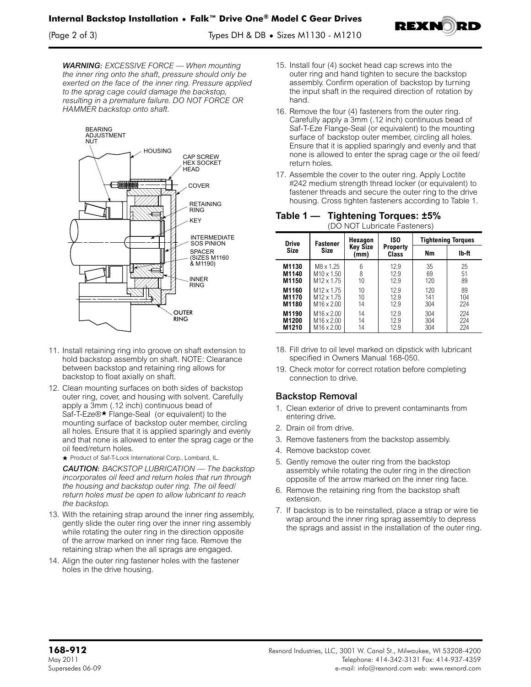

*WARNING: EXCESSIVE FORCE — When mounting the inner ring onto the shaft, pressure should only be exerted on the face of the inner ring. Pressure applied to the sprag cage could damage the backstop, resulting in a premature failure. DO NOT FORCE OR HAMMER backstop onto shaft.*



- 11. Install retaining ring into groove on shaft extension to hold backstop assembly on shaft. NOTE: Clearance between backstop and retaining ring allows for backstop to float axially on shaft.
- 12. Clean mounting surfaces on both sides of backstop outer ring, cover, and housing with solvent. Carefully apply a 3mm (.12 inch) continuous bead of Saf-T-Eze®<sup>★</sup> Flange-Seal (or equivalent) to the mounting surface of backstop outer member, circling all holes. Ensure that it is applied sparingly and evenly and that none is allowed to enter the sprag cage or the oil feed/return holes.

+ Product of Saf-T-Lock International Corp., Lombard, IL.

*CAUTION: BACKSTOP LUBRICATION — The backstop incorporates oil feed and return holes that run through the housing and backstop outer ring. The oil feed/ return holes must be open to allow lubricant to reach the backstop.*

- 13. With the retaining strap around the inner ring assembly, gently slide the outer ring over the inner ring assembly while rotating the outer ring in the direction opposite of the arrow marked on inner ring face. Remove the retaining strap when the all sprags are engaged.
- 14. Align the outer ring fastener holes with the fastener holes in the drive housing.
- 15. Install four (4) socket head cap screws into the outer ring and hand tighten to secure the backstop assembly. Confirm operation of backstop by turning the input shaft in the required direction of rotation by hand.
- 16. Remove the four (4) fasteners from the outer ring. Carefully apply a 3mm (.12 inch) continuous bead of Saf-T-Eze Flange-Seal (or equivalent) to the mounting surface of backstop outer member, circling all holes. Ensure that it is applied sparingly and evenly and that none is allowed to enter the sprag cage or the oil feed/ return holes.
- 17. Assemble the cover to the outer ring. Apply Loctite #242 medium strength thread locker (or equivalent) to fastener threads and secure the outer ring to the drive housing. Cross tighten fasteners according to Table 1.

| Table 1 — | <b>Tightening Torques: ±5%</b> |
|-----------|--------------------------------|
|           | (DO NOT Lubricate Fasteners)   |

| , D O T TOT LADITOALO T AOLOHOI O / |                                |                                    |                                 |     |                                    |  |
|-------------------------------------|--------------------------------|------------------------------------|---------------------------------|-----|------------------------------------|--|
| <b>Drive</b><br><b>Size</b>         | <b>Fastener</b><br><b>Size</b> | Hexagon<br><b>Key Size</b><br>(mm) | ISO<br><b>Property</b><br>Class | Nm  | <b>Tightening Torques</b><br>lb-ft |  |
| M1130                               | M8 x 1.25                      | 6                                  | 12.9                            | 35  | 25                                 |  |
| M1140                               | M <sub>10</sub> x 1.50         | 8                                  | 12.9                            | 69  | 51                                 |  |
| M1150                               | M <sub>12</sub> x 1.75         | 10                                 | 12.9                            | 120 | 89                                 |  |
| M1160                               | M <sub>12</sub> x 1.75         | 10                                 | 12.9                            | 120 | 89                                 |  |
| M1170                               | M <sub>12</sub> x 1.75         | 10                                 | 12.9                            | 141 | 104                                |  |
| M1180                               | M <sub>16</sub> x 2.00         | 14                                 | 12.9                            | 304 | 224                                |  |
| M1190                               | M <sub>16</sub> x 2.00         | 14                                 | 12.9                            | 304 | 224                                |  |
| M1200                               | M <sub>16</sub> x 2.00         | 14                                 | 12.9                            | 304 | 224                                |  |
| M1210                               | M <sub>16</sub> x 2.00         | 14                                 | 12.9                            | 304 | 224                                |  |

- 18. Fill drive to oil level marked on dipstick with lubricant specified in Owners Manual 168-050.
- 19. Check motor for correct rotation before completing connection to drive.

# Backstop Removal

- 1. Clean exterior of drive to prevent contaminants from entering drive.
- 2. Drain oil from drive.
- 3. Remove fasteners from the backstop assembly.
- 4. Remove backstop cover.
- 5. Gently remove the outer ring from the backstop assembly while rotating the outer ring in the direction opposite of the arrow marked on the inner ring face.
- 6. Remove the retaining ring from the backstop shaft extension.
- 7. If backstop is to be reinstalled, place a strap or wire tie wrap around the inner ring sprag assembly to depress the sprags and assist in the installation of the outer ring.